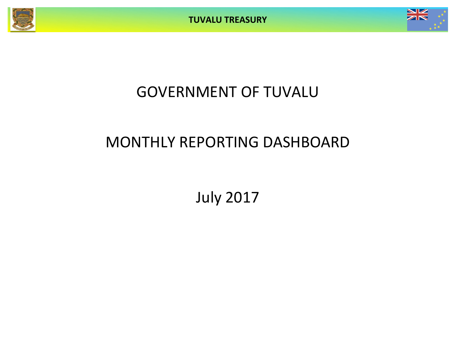



# GOVERNMENT OF TUVALU

## MONTHLY REPORTING DASHBOARD

July 2017

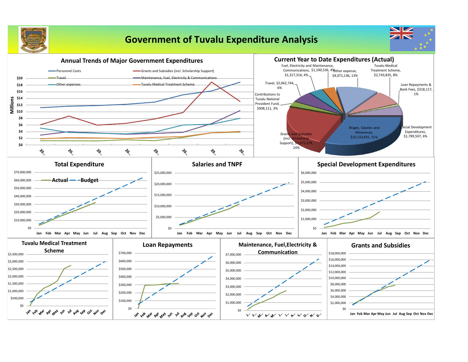

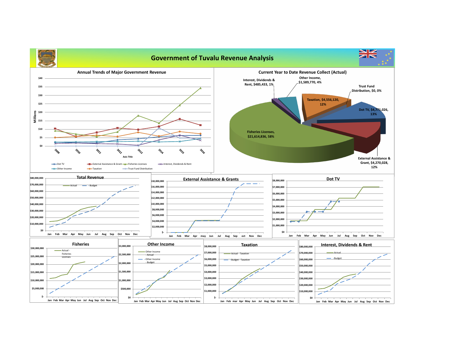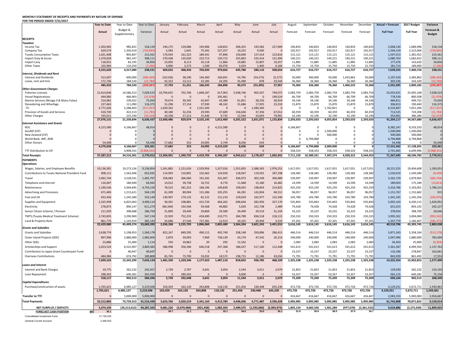## **MONTHLY STATEMENT OF RECEIPTS AND PAYMENTS BY NATURE OF EXPENSE FOR THE PERIOD ENDED 7/31/2017**

|                                                                        | <b>Year to Date</b>   | Year to Date          | Year to Date           | January             | February            | March              | April              | May               | June                | July                | August              | September           | October              | November            | December            | <b>Actual + Forecast</b> | 2017 Budget           | Variance                |
|------------------------------------------------------------------------|-----------------------|-----------------------|------------------------|---------------------|---------------------|--------------------|--------------------|-------------------|---------------------|---------------------|---------------------|---------------------|----------------------|---------------------|---------------------|--------------------------|-----------------------|-------------------------|
|                                                                        | <b>Actual</b>         | Budget &              | Variance               | Actual              | Actual              | Actual             | Actual             | Actual            | Actual              | Actual              | Forecast            | Forecast            | Forecast             | Forecast            | Forecast            | <b>Full Year</b>         | <b>Full Year</b>      | Forecast &              |
|                                                                        |                       | Supplementary         |                        |                     |                     |                    |                    |                   |                     |                     |                     |                     |                      |                     |                     |                          |                       | <b>Budget</b>           |
| <b>RECEIPTS</b>                                                        |                       |                       |                        |                     |                     |                    |                    |                   |                     |                     |                     |                     |                      |                     |                     |                          |                       |                         |
| <b>Taxation</b><br>Income Tax                                          | 1,303,965             | 985,831               | 318,134                | 194,175             | 159,086             | 193,906            | 128,852            | 206,455           | 193,582             | 227,909             | 140,833             | 140,833             | 140,833              | 140,833             | 140,833             | 2,008,130                | 1,689,996             | 318,134                 |
| Company Tax                                                            | 629,574               | 1,350,419             | 720,845                | 5,583               | 1,641               | 75,342             | 527,257            | 10,252            | 9,500               |                     | 192,917             | 192,917             | 192,917              | 192,917             | 192,917             | 1,594,159                | 2,315,004             | (720, 845)              |
| <b>Tuvalu Consumption Taxes</b>                                        | 1,021,408             | 805,847               | 215,561                | 170,934             | 161,323             | 189,341            | 97,896             | 150,690           | 127,414             | 123,810             | 115,121             | 115,121             | 115,121              | 115,121             | 115,121             | 1,597,013                | 1,381,452             | 215,561                 |
| Import Duty & Excise<br>Import Levy                                    | 1,379,658<br>118,051  | 981,547<br>83,195     | 398,111<br>34,856      | 270,438<br>23,005   | 135,020<br>8,113    | 223,713<br>20,118  | 130,715<br>11,866  | 255,863<br>19,885 | 232,414<br>15,807   | 131,494<br>19,257   | 140,221<br>11,885   | 140,221<br>11,885   | 140,221<br>11,885    | 140,221<br>11,885   | 140,221<br>11,885   | 2,080,763<br>177,476     | 1,682,652<br>142,620  | 398,111<br>34,856       |
| <b>Other Taxes</b>                                                     | 102,964               | 110,250               | (7, 286)               | 4,896               | 3,273               | 1,500              | 83,076             | 2,634             | 1,400               | 6,184               | 15,750              | 15,750              | 15,750               | 15,750              | 15,750              | 181,714                  | 189,000               | (7, 286)                |
|                                                                        | 4,555,620             | 4,317,089             | 238,531                | 669,032             | 468,456             | 703,920            | 979,662            | 645,780           | 580,116             | 508,654             | 616,727             | 616,727             | 616,727              | 616,727             | 616,727             | 7,639,255                | 7,400,724             | 238,531                 |
| Interest, Dividends and Rent                                           |                       |                       |                        |                     |                     |                    |                    |                   |                     |                     |                     |                     |                      |                     |                     |                          |                       |                         |
| <b>Interest and Dividends</b><br>Lease, rent and hire                  | 313,697<br>171,736    | 600,000<br>184,520    | (286, 303)<br>(12,784) | (24, 530)<br>42,322 | 38,240<br>13,112    | 144,360<br>22,185  | 160,691<br>24,205  | 54,785<br>35,490  | (54, 273)<br>878    | (5, 577)<br>33,544  | 50,000<br>26,360    | 300,000<br>26,360   | 50,000<br>26,360     | 1,433,862<br>26,360 | 50,000<br>26,360    | 2,197,559<br>303,536     | 2,483,862<br>316,320  | (286, 303)<br>(12, 784) |
|                                                                        | 485,433               | 784,520               | (299,087               | 17,793              | 51,351              | 166,545            | 184,896            | 90,275            | (53, 395)           | 27,967              | 76,360              | 326,360             | 76,360               | 1,460,222           | 76,360              | 2,501,095                | 2,800,182             | (299, 087)              |
| <b>Other Government Charges</b>                                        |                       |                       |                        |                     |                     |                    |                    |                   |                     |                     |                     |                     |                      |                     |                     |                          |                       |                         |
| <b>Fisheries Licenses</b><br><b>Vessel Registrations</b>               | 21,614,836<br>444,985 | 14,586,313<br>466,963 | 7,028,523<br>(21, 978) | 10,794,655<br>-0    | 702,706             | 1,848,187<br>0     | 617,963<br>245,461 | 5,938,746<br>- 0  | 963,507             | 749,072<br>199,524  | 2,083,759<br>66,709 | 2,083,759<br>66,709 | 2,083,759<br>66,709  | 2,083,759<br>66,709 | 2,083,759<br>66,709 | 32,033,631<br>778,530    | 25,005,108<br>800,508 | 7,028,523<br>(21, 978)  |
| Marine Services (Nivaga II & Manu Folau)                               | 314,081               | 239,022               | 75,059                 | 70,674              | 30,345              | 42,647             | 43,389             | 61,851            | 28,250              | 36,924              | 34,146              | 34,146              | 34,146               | 34,146              | 34,146              | 484,811                  | 409,752               | 75,059                  |
| Stevedoring and Wharfage                                               | 227,463               | 111,090               | 116,373                | 31,296              | 37,154              | 37,930             | 48,162             | 31,686            | 17,925              | 23,310              | 15,870              | 15,870              | 15,870               | 15,870              | 15,870              | 306,813                  | 190,440               | 116,373                 |
| .TV                                                                    | 4,771,026             | 5,288,463             | (517, 437)             | 1,639,342           | $\Omega$            | 1,551,344          | $\mathbf 0$        |                   | 1,580,340           | $\overline{0}$      | - 0                 | - 0                 | 1,762,821            | - 0                 |                     | 6,533,847                | 7,051,284             | (517, 437)              |
| Provision of Goods and Services<br><b>Other Charges</b>                | 410,730<br>193,011    | 422,513<br>225,330    | (11, 783)<br>(32, 31)  | 40,180<br>24,338    | 32,256<br>27,213    | 29,590<br>15,446   | 47,689<br>9,735    | 156,646<br>12,594 | 37,356<br>23,693    | 67,012<br>79,991    | 60,359<br>32,190    | 60,359<br>32,190    | 60,359<br>32,190     | 60,359<br>32,190    | 60,359<br>32,190    | 712,525<br>353,961       | 724,308<br>386,280    | (11, 783)<br>(32, 319)  |
|                                                                        | 27,976,131            | 21,339,694            | 6,636,437              | 12,600,486          | 829,674             | 3,525,145          | 1,012,400          | 6,201,522         | 2,651,071           | 1,155,834           | 2,293,033           | 2,293,033           | 4,055,854            | 2,293,033           | 2,293,033           | 41,204,117               | 34,567,680            | 6,636,437               |
| <b>External Assistance and Grants</b>                                  |                       |                       |                        |                     |                     |                    |                    |                   |                     |                     |                     |                     |                      |                     |                     |                          |                       |                         |
| <b>ROC</b>                                                             | 4,215,580             | 4,166,667             | 48,914                 | 0                   |                     | $\Omega$           | 4,215,580          |                   |                     |                     | ,166,667            | 0<br>$\Omega$       |                      |                     |                     | 8,382,247                | 8,333,333             | 48,914                  |
| AusAID (CIF<br>New Zealand (CIF)                                       |                       |                       |                        |                     |                     |                    |                    |                   |                     |                     |                     |                     | 1,500,000<br>500,000 |                     |                     | 1,500,000<br>500,000     | 1,500,000<br>500,000  |                         |
| World Bank, IMF, ADB                                                   |                       |                       |                        |                     |                     |                    | $\Omega$           |                   |                     |                     |                     | 6,794,868           |                      |                     |                     | 6,794,868                | 6,794,868             |                         |
| <b>Other Donors</b>                                                    | 54,448                |                       | 54,448                 | 17,682              | 253                 | 24,095             | 3,749              | 8,036             | 634                 |                     |                     | $\Omega$            |                      | $\Omega$            |                     | 54,448                   |                       | 54,448                  |
|                                                                        | 4,270,028             | 4,166,667             | 103,361                | 17,682              | 253                 | 24,095             | 4,219,329          | 8,036             | 634                 |                     | 4,166,667           | 6,794,868           | 2,000,000            | $\Omega$            |                     | 17,231,562               | 17,128,201            | 103,361                 |
| TTF Distribution to CIF                                                |                       | 3,908,331             | 3,908,331              | $\Omega$            |                     | $\Omega$           | 0                  | $\Omega$          |                     |                     | 558,333             | 558,333             | 558,333              | 558,333             | 558,333             | 2,791,665                | 6,699,996             | (3,908,331)             |
| <b>Total Receipts</b><br><b>PAYMENTS</b>                               | 37,287,212            | 34,516,301            | 2,770,91               | 13,304,991          | 1,349,735           | 4,419,705          | 6,396,287          | 6,945,612         | 3,178,427           | 1,692,455           | 7,711,120           | 10,589,321          | 7,307,274            | 4,928,315           | 3,544,453           | 71,367,695               | 68,596,783            | 2,770,912               |
| <b>Operations</b>                                                      |                       |                       |                        |                     |                     |                    |                    |                   |                     |                     |                     |                     |                      |                     |                     |                          |                       |                         |
| Wages, Salaries, and Employee Benefits                                 | 10,136,301            | 19,273,156            | 9,136,854              | 1,341,882           | 1,221,016           | l,529,956          | 1,327,016          | 1,351,835         | 1,388,343           | 1,976,252           | 1,617,051           | 1,617,051           | 1,617,051            | 1,617,051           | 1,617,051           | 18,221,555               | 19,404,608            | 1,183,053               |
| <b>Contributions to Tuvalu National Provident Fund</b>                 | 908,111               | 1,562,046             | 653,935                | 114,993             | 110,891             | 132,462            | 124,930            | 118,047           | 119,591             | 187,198             | 128,382             | 128,382             | 128,382              | 128,382             | 128,382             | 1,550,019                | 1,540,580             | (9, 439)                |
| Travel                                                                 | 2,062,744             | 3,528,541             | 1,465,79               | 258,083             | 366,060             | 191,342            | 201,047            | 436,973           | 302,249             | 306,989             | 239,997             | 239,997             | 239,997              | 239,997             | 239,997             | 3,262,729                | 2,879,965             | (382, 764)              |
| Telephone and Internet                                                 | 116,007               | 180,949               | 64,942                 | 14,012              | 39,738              | 10,752             | 8,776              | 11,068            | 15,180              | 16,482              | 14,599              | 14,599              | 14,599               | 14,599              | 14,599              | 189,003                  | 175,189               | (13, 813)               |
| Maintenance                                                            | 1,190,536             | 5,944,695             | 4,754,159              | 78,525              | 181,252             | 168,196            | 149,839            | 199,055           | 198,843             | 214,825             | 425,250             | 425,250             | 425,250              | 425,250             | 425,250             | 3,316,786                | 5,103,001             | 1,786,215               |
| <b>Advertising and Provisions</b>                                      | 671,483               | 1,215,621             | 544,139                | 61,309              | 80,004              | 131,286            | 105,255            | 66,281            | 142,834             | 84,512              | 96,057              | 96,057              | 96,057               | 96,057              | 96,057              | 1,151,767                | 1,152,682             | 915                     |
| Fuel and Oil                                                           | 922,436               | 1,245,580             | 323,144                | 130,997             | 174,132             | 81,122             | 121,210            | 129,659           | 162,977             | 122,340             | 103,780             | 103,780             | 103,780              | 103,780             | 103,780             | 1,441,335                | 1,245,356             | (195, 979)              |
| Supplies and Equipment                                                 | 2,325,949             | 6,825,063             | 4,499,114              | 30,301              | 108,881             | 415,734            | 464,262            | 696,644           | 282,956             | 327,170             | 535,843             | 535,843             | 535,843              | 535,843             | 535,843             | 5,005,163                | 6,430,115             | 1,424,952               |
| Electricity                                                            | 278,873               | 890,147               | 611,274                | (84, 340)           | 144,506             | 59,568             | 49,882             | 5,029             | 101,738             | 2,489               | 74,428              | 74,428              | 74,428               | 74,428              | 74,428              | 651,015                  | 893,142               | 242,127                 |
| Senior Citizen Scheme / Pension                                        | 211,929               | 398,688               | 186,759                | 31,899              | 29,449              | 29,869             | 29,589             | 30,499            | 29,519              | 31,104              | 33,225              | 33,225              | 33,225               | 33,225              | 33,225              | 378,054                  | 398,700               | 20,646                  |
| <b>TMTS (Tuvalu Medical Treatment Scheme)</b>                          | 2,743,835             | 3,290,969             | 547,134                | 22,920              | 752,232             | 418,490            | 210,771            | 284,789           | 836,518             | 218,115             | 250,333             | 250,333             | 250,333              | 250,333             | 250,333             | 3,995,502                | 3,004,000             | (991, 502)              |
| Land & Property Rent                                                   | 861,776               | 1,143,919             | 282,143                | 35,686              | 27,544              | 727,281            | 12,913             | 34,325            | 20,494              | 3,533               | 97,201              | 97,201              | 97,201               | 97,201              | 97,201              | 1,347,779                | 1,166,407             | (181, 372)              |
| <b>Grants and Subsidies</b>                                            | 22,429,980            | 45,499,374            | 23,069,395             | 2,036,268           | 3,235,705           | 3,896,060          | 2,805,489          | 3,364,204         | 3,601,243           | 3,491,010           | 3,616,145           | 3,616,145           | 3,616,145            | 3,616,145           | 3,616,145           | 40,510,706               | 43,393,745            | 2,883,038               |
| <b>Grants and Subsidies</b>                                            | 3,638,774             | 5,198,953             | 1,560,178              | 822,167             | 849,295             | 490,115            | 492,740            | 338,148           | 359,896             | 286,413             | 446,514             | 446,514             | 446,514              | 446,514             | 446,514             | 5,871,343                | 5,358,164             | (513, 178)              |
| Outer Island Projects (SDE)                                            | 897,996               | 2,880,000             | 1,982,004              | 5,870               | 39,093              | 7,969              | 728,139            | 43,170            | 47,542              | 26,214              | 240,000             | 240,000             | 240,000              | 240,000             | 240,000             | 2,097,996                | 2,880,000             | 782,004                 |
| Other SDEs                                                             | 23,886                | 25,000                | 1,11                   | 550                 | 10,862              | 20                 | 292                | 12,162            |                     |                     | 2,083               | 2,083               | 2,083                | 2,083               | 2,083               | 34,303                   | 25,000                | (9,303)                 |
| Scholarships and Support                                               | 2,653,524             | 6,522,907             | 3,869,383              | 586,998             | 356,396             | 646,518            | 247,368            | 186,637           | 517,160             | 112,448             | 541,613             | 541,613             | 541,613              | 541,613             | 541,613             | 5,361,587                | 6,499,350             | 1,137,763               |
| Contribution to Japan Grant Counterpart Fund                           |                       | 40,647                | 40,647                 | -0                  |                     | $\Omega$           | 0                  |                   |                     |                     | 23,237              | 23,237              | 23,237               | 23,237              | 23,237              | 116,186                  | 278,847               | 162,661                 |
| <b>Overseas Contributions</b>                                          | 484,984               | 674,792               | 189,80                 | 65,745              | 73,700              | 33,032             | 18,572             | 238,715           | 12,186              | 43,034              | 71,791              | 71,791              | 71,791               | 71,791              | 71,791              | 843,939                  | 861,492               | 17,553                  |
|                                                                        | 7,699,165             | 15,342,299            | 7,643,134              | 1,481,330           | 1,329,346           | 1,177,653          | 1,487,110          | 818,832           | 936,785             | 468,109             | 1,325,238           | 1,325,238           | 1,325,238            | 1,325,238           | 1,325,238           | 14,325,354               | 15,902,853            | 1,577,499               |
| <b>Loans and Interest</b>                                              |                       |                       |                        |                     |                     |                    |                    |                   |                     |                     |                     |                     |                      |                     |                     |                          |                       |                         |
| Interest and Bank Charges                                              | 19,775                | 262,232               | 242,457                | 2,739               | 2,707               | 3,641              | 3,054              | 2,544             | 3,011               | 2,079               | 21,853              | 21,853              | 21,853               | 21,853              | 21,853              | 129,039                  | 262,232               | 133,193                 |
| Loan Repayment                                                         | 298,342               | 640,281               | 341,939                |                     | 289,342             | $\Omega$           |                    | 9,000             |                     |                     | 53,357              | 53,357              | 53,357               | 53,357              | 53,357              | 565,125                  | 640,281               | 75,156                  |
| <b>Capital Expenditures</b>                                            | 318,117               | 902,513               | 584,396                | 2,739               | 292,048             | 3,641              | 3,054              | 11,544            | 3,011               | 2,079               | 75,209              | 75,209              | 75,209               | 75,209              | 75,209              | 694,164                  | 902,513               | 208,349                 |
| Purchase/construction of assets                                        | 1,765,621             | 6,985,127             | 5,219,50               | 103,429             | 163,120             | 263,808            | 118,130            | 251,456           | 230,448             | 635,230             | 472,726             | 472,726             | 472,726              | 472,726             | 472,726             | 4,129,251                | 5,672,711             | 1,543,461               |
|                                                                        | 1,765,621             | 6,985,127             | 5,219,506              | 103,429             | 163,120             | 263,808            | 118,130            | 251,456           | 230,448             | 635,230             | 472,726             | 472,726             | 472,726              | 472,726             | 472,726             | 4,129,251                | 5,672,711             | 1,543,461               |
| <b>Transfer to TTF</b>                                                 |                       | 5,000,000             | 5,000,000              |                     |                     |                    |                    |                   |                     |                     | 416,667             | 416,667             | 416,667              | 416,667             | 416,667             | 2,083,333                | 5,000,000             | 2,916,667               |
| <b>Total Payments</b>                                                  | 32,212,883            | 73,729,313            | 41,516,43              | 3,623,766           | 5,020,219           | 5,341,163          | 4,413,784          | 4,446,036         | 4,771,487           | 4,596,428           | 5,905,985           | 5,905,985           | 5,905,985            | 5,905,985           | 5,905,985           | 61,742,808               | 70,871,822            | 9,129,014               |
|                                                                        |                       |                       |                        |                     |                     |                    |                    |                   |                     |                     |                     |                     |                      |                     |                     |                          |                       |                         |
| <b>NET SURPLUS / (DEFICIT)</b><br>\$M<br><b>FORECAST CASH POSITION</b> | 5,074,330<br>30.1     | (39, 213, 012)        | 44,287,342             | 9,681,226<br>34.7   | (3,670,484)<br>31.1 | (921, 458)<br>30.1 | 1,982,503<br>32.1  | 2,499,575<br>34.6 | (1,593,060)<br>33.0 | (2,903,973)<br>30.1 | 1,805,134<br>31.9   | 4,683,336<br>36.6   | 1,401,289<br>38.0    | (977,670)<br>37.0   | (2,361,532)<br>34.7 | 9,624,886                | (2, 275, 039)         | 11,899,925              |
| <b>Consolidated Investment Fund</b>                                    | 27,735,235            |                       |                        |                     |                     |                    |                    |                   |                     |                     |                     |                     |                      |                     |                     |                          |                       |                         |
| <b>General Current Account</b>                                         | 2,395,625             |                       |                        |                     |                     |                    |                    |                   |                     |                     |                     |                     |                      |                     |                     |                          |                       |                         |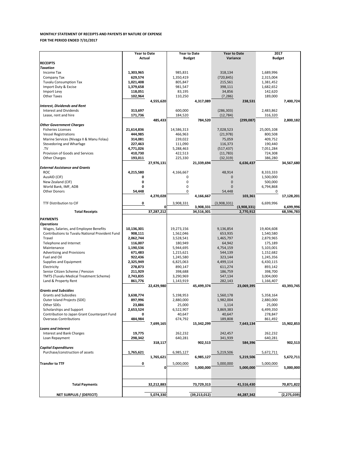|                                                                | <b>Year to Date</b>  |            | <b>Year to Date</b>  |                | <b>Year to Date</b>   |             | 2017                   |               |  |
|----------------------------------------------------------------|----------------------|------------|----------------------|----------------|-----------------------|-------------|------------------------|---------------|--|
|                                                                | <b>Actual</b>        |            | <b>Budget</b>        |                | Variance              |             | <b>Budget</b>          |               |  |
| <b>RECEIPTS</b>                                                |                      |            |                      |                |                       |             |                        |               |  |
| <b>Taxation</b>                                                |                      |            |                      |                |                       |             |                        |               |  |
| Income Tax                                                     | 1,303,965<br>629,574 |            | 985,831              |                | 318,134<br>(720, 845) |             | 1,689,996<br>2,315,004 |               |  |
| Company Tax<br><b>Tuvalu Consumption Tax</b>                   | 1,021,408            |            | 1,350,419<br>805,847 |                | 215,561               |             | 1,381,452              |               |  |
| Import Duty & Excise                                           | 1,379,658            |            | 981,547              |                | 398,111               |             | 1,682,652              |               |  |
| Import Levy                                                    | 118,051              |            | 83,195               |                | 34,856                |             | 142,620                |               |  |
| <b>Other Taxes</b>                                             | 102,964              |            | 110,250              |                | (7, 286)              |             | 189,000                |               |  |
|                                                                |                      | 4,555,620  |                      | 4,317,089      |                       | 238,531     |                        | 7,400,724     |  |
| <b>Interest, Dividends and Rent</b>                            |                      |            |                      |                |                       |             |                        |               |  |
| Interest and Dividends                                         | 313,697              |            | 600,000              |                | (286, 303)            |             | 2,483,862              |               |  |
| Lease, rent and hire                                           | 171,736              |            | 184,520              |                | (12, 784)             |             | 316,320                |               |  |
|                                                                |                      | 485,433    |                      | 784,520        |                       | (299, 087)  |                        | 2,800,182     |  |
| <b>Other Government Charges</b>                                |                      |            |                      |                |                       |             |                        |               |  |
| <b>Fisheries Licenses</b>                                      | 21,614,836           |            | 14,586,313           |                | 7,028,523             |             | 25,005,108             |               |  |
| <b>Vessel Registrations</b>                                    | 444,985              |            | 466,963              |                | (21, 978)             |             | 800,508                |               |  |
| Marine Services (Nivaga II & Manu Folau)                       | 314,081              |            | 239,022              |                | 75,059                |             | 409,752                |               |  |
| Stevedoring and Wharfage                                       | 227,463              |            | 111,090              |                | 116,373               |             | 190,440                |               |  |
| .TV                                                            | 4,771,026            |            | 5,288,463            |                | (517, 437)            |             | 7,051,284              |               |  |
| Provision of Goods and Services                                | 410,730              |            | 422,513              |                | (11, 783)             |             | 724,308                |               |  |
| <b>Other Charges</b>                                           | 193,011              | 27,976,131 | 225,330              | 21,339,694     | (32, 319)             | 6,636,437   | 386,280                | 34,567,680    |  |
| <b>External Assistance and Grants</b>                          |                      |            |                      |                |                       |             |                        |               |  |
| <b>ROC</b>                                                     | 4,215,580            |            | 4,166,667            |                | 48,914                |             | 8,333,333              |               |  |
| AusAID (CIF)                                                   | 0                    |            | 0                    |                | 0                     |             | 1,500,000              |               |  |
| New Zealand (CIF)                                              | 0                    |            | 0                    |                | 0                     |             | 500,000                |               |  |
| World Bank, IMF, ADB                                           | 0                    |            | 0                    |                | 0                     |             | 6,794,868              |               |  |
| <b>Other Donors</b>                                            | 54,448               |            | 0                    |                | 54,448                |             | 0                      |               |  |
|                                                                |                      | 4,270,028  |                      | 4,166,667      |                       | 103,361     |                        | 17,128,201    |  |
| <b>TTF Distribution to CIF</b>                                 | 0                    |            | 3,908,331            |                | (3,908,331)           |             | 6,699,996              |               |  |
|                                                                |                      | Οľ         |                      | 3,908,331      |                       | (3,908,331) |                        | 6,699,996     |  |
| <b>Total Receipts</b>                                          |                      | 37,287,212 |                      | 34,516,301     |                       | 2,770,912   |                        | 68,596,783    |  |
| <b>PAYMENTS</b>                                                |                      |            |                      |                |                       |             |                        |               |  |
| <b>Operations</b>                                              |                      |            |                      |                |                       |             |                        |               |  |
| Wages, Salaries, and Employee Benefits                         | 10,136,301           |            | 19,273,156           |                | 9,136,854             |             | 19,404,608             |               |  |
| Contributions to Tuvalu National Provident Fund                | 908,111              |            | 1,562,046            |                | 653,935               |             | 1,540,580              |               |  |
| Travel                                                         | 2,062,744            |            | 3,528,541            |                | 1,465,797             |             | 2,879,965              |               |  |
| Telephone and Internet                                         | 116,007              |            | 180,949              |                | 64,942                |             | 175,189                |               |  |
| Maintenance                                                    | 1,190,536            |            | 5,944,695            |                | 4,754,159             |             | 5,103,001              |               |  |
| <b>Advertising and Provisions</b>                              | 671,483              |            | 1,215,621            |                | 544,139               |             | 1,152,682              |               |  |
| Fuel and Oil                                                   | 922,436              |            | 1,245,580            |                | 323,144               |             | 1,245,356              |               |  |
| Supplies and Equipment                                         | 2,325,949            |            | 6,825,063            |                | 4,499,114             |             | 6,430,115              |               |  |
| Electricity                                                    | 278,873              |            | 890,147              |                | 611,274               |             | 893,142                |               |  |
| Senior Citizen Scheme / Pension                                | 211,929              |            | 398,688              |                | 186,759               |             | 398,700                |               |  |
| <b>TMTS (Tuvalu Medical Treatment Scheme)</b>                  | 2,743,835            |            | 3,290,969            |                | 547,134               |             | 3,004,000              |               |  |
| Land & Property Rent                                           | 861,776              |            | 1,143,919            |                | 282,143               |             | 1,166,407              |               |  |
| <b>Grants and Subsidies</b>                                    |                      | 22,429,980 |                      | 45,499,374     |                       | 23,069,395  |                        | 43,393,745    |  |
| <b>Grants and Subsidies</b>                                    | 3,638,774            |            | 5,198,953            |                | 1,560,178             |             | 5,358,164              |               |  |
| Outer Island Projects (SDE)                                    | 897,996              |            | 2,880,000            |                | 1,982,004             |             | 2,880,000              |               |  |
| Other SDEs                                                     | 23,886               |            | 25,000               |                | 1,114                 |             | 25,000                 |               |  |
| Scholarships and Support                                       | 2,653,524            |            | 6,522,907            |                | 3,869,383             |             | 6,499,350              |               |  |
| Contribution to Japan Grant Counterpart Fund                   | 0                    |            | 40,647               |                | 40,647                |             | 278,847                |               |  |
| <b>Overseas Contributions</b>                                  | 484,984              |            | 674,792              |                | 189,808               |             | 861,492                |               |  |
|                                                                |                      | 7,699,165  |                      | 15,342,299     |                       | 7,643,134   |                        | 15,902,853    |  |
| <b>Loans and Interest</b>                                      |                      |            |                      |                |                       |             |                        |               |  |
| <b>Interest and Bank Charges</b>                               | 19,775               |            | 262,232              |                | 242,457               |             | 262,232                |               |  |
| Loan Repayment                                                 | 298,342              |            | 640,281              |                | 341,939               |             | 640,281                |               |  |
|                                                                |                      | 318,117    |                      | 902,513        |                       | 584,396     |                        | 902,513       |  |
| <b>Capital Expenditures</b><br>Purchase/construction of assets | 1,765,621            |            | 6,985,127            |                | 5,219,506             |             | 5,672,711              |               |  |
|                                                                |                      | 1,765,621  |                      | 6,985,127      |                       | 5,219,506   |                        | 5,672,711     |  |
|                                                                |                      |            |                      |                |                       |             |                        |               |  |
| <b>Transfer to TTF</b>                                         | 0                    | 0          | 5,000,000            | 5,000,000      | 5,000,000             | 5,000,000   | 5,000,000              | 5,000,000     |  |
|                                                                |                      |            |                      |                |                       |             |                        |               |  |
|                                                                |                      |            |                      |                |                       |             |                        |               |  |
| <b>Total Payments</b>                                          |                      | 32,212,883 |                      | 73,729,313     |                       | 41,516,430  |                        | 70,871,822    |  |
|                                                                |                      |            |                      |                |                       |             |                        |               |  |
| <b>NET SURPLUS / (DEFECIT)</b>                                 |                      | 5,074,330  |                      | (39, 213, 012) |                       | 44,287,342  |                        | (2, 275, 039) |  |

## **MONTHLY STATEMENT OF RECEIPTS AND PAYENTS BY NATURE OF EXPENSE**

**FOR THE PERIOD ENDED 7/31/2017**